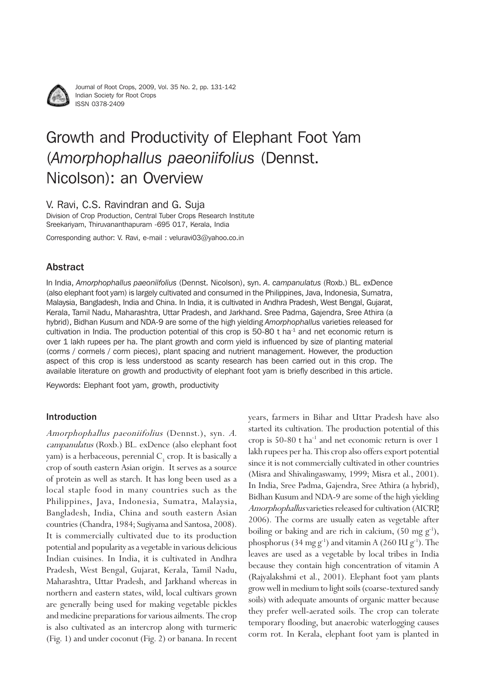

Growth and productivity of elephant for productivity of ROO ROOP. Vol. 35 No. 2, pp. 131-142<br>**Roof** Judien Capista for Past Crops, 2009, Vol. 35 No. 2, pp. 131-142 Indian Society for Root Crops ISSN 0378-2409

# Growth and Productivity of Elephant Foot Yam (Amorphophallus paeoniifolius (Dennst. Nicolson): an Overview

V. Ravi, C.S. Ravindran and G. Suja

Division of Crop Production, Central Tuber Crops Research Institute Sreekariyam, Thiruvananthapuram -695 017, Kerala, India

Corresponding author: V. Ravi, e-mail : veluravi03@yahoo.co.in

# Abstract

In India, Amorphophallus paeoniifolius (Dennst. Nicolson), syn. A. campanulatus (Roxb.) BL. exDence (also elephant foot yam) is largely cultivated and consumed in the Philippines, Java, Indonesia, Sumatra, Malaysia, Bangladesh, India and China. In India, it is cultivated in Andhra Pradesh, West Bengal, Gujarat, Kerala, Tamil Nadu, Maharashtra, Uttar Pradesh, and Jarkhand. Sree Padma, Gajendra, Sree Athira (a hybrid), Bidhan Kusum and NDA-9 are some of the high yielding Amorphophallus varieties released for cultivation in India. The production potential of this crop is  $50-80$  t ha<sup>-1</sup> and net economic return is over 1 lakh rupees per ha. The plant growth and corm yield is influenced by size of planting material (corms / cormels / corm pieces), plant spacing and nutrient management. However, the production aspect of this crop is less understood as scanty research has been carried out in this crop. The available literature on growth and productivity of elephant foot yam is briefly described in this article.

Keywords: Elephant foot yam, growth, productivity

# Introduction

Amorphophallus paeoniifolius (Dennst.), syn. A. campanulatus (Roxb.) BL. exDence (also elephant foot yam) is a herbaceous, perennial  $C_{\frac{3}{2}}$  crop. It is basically a crop of south eastern Asian origin. It serves as a source of protein as well as starch. It has long been used as a local staple food in many countries such as the Philippines, Java, Indonesia, Sumatra, Malaysia, Bangladesh, India, China and south eastern Asian countries (Chandra, 1984; Sugiyama and Santosa, 2008). It is commercially cultivated due to its production potential and popularity as a vegetable in various delicious Indian cuisines. In India, it is cultivated in Andhra Pradesh, West Bengal, Gujarat, Kerala, Tamil Nadu, Maharashtra, Uttar Pradesh, and Jarkhand whereas in northern and eastern states, wild, local cultivars grown are generally being used for making vegetable pickles and medicine preparations for various ailments. The crop is also cultivated as an intercrop along with turmeric (Fig. 1) and under coconut (Fig. 2) or banana. In recent years, farmers in Bihar and Uttar Pradesh have also started its cultivation. The production potential of this crop is  $50-80$  t ha<sup>-1</sup> and net economic return is over 1 lakh rupees per ha. This crop also offers export potential since it is not commercially cultivated in other countries (Misra and Shivalingaswamy, 1999; Misra et al., 2001). In India, Sree Padma, Gajendra, Sree Athira (a hybrid), Bidhan Kusum and NDA-9 are some of the high yielding Amorphophallus varieties released for cultivation (AICRP, 2006). The corms are usually eaten as vegetable after boiling or baking and are rich in calcium,  $(50 \text{ mg g}^{-1})$ , phosphorus (34 mg  $g^{-1}$ ) and vitamin A (260 IU  $g^{-1}$ ). The leaves are used as a vegetable by local tribes in India because they contain high concentration of vitamin A (Rajyalakshmi et al., 2001). Elephant foot yam plants grow well in medium to light soils (coarse-textured sandy soils) with adequate amounts of organic matter because they prefer well-aerated soils. The crop can tolerate temporary flooding, but anaerobic waterlogging causes corm rot. In Kerala, elephant foot yam is planted in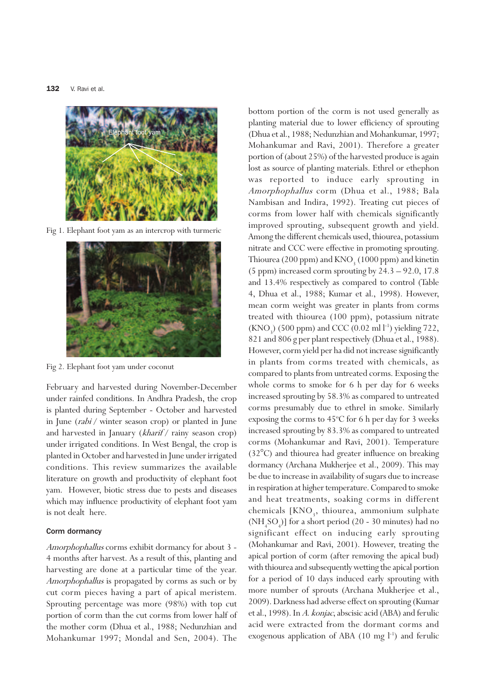

Fig 1. Elephant foot yam as an intercrop with turmeric



Fig 2. Elephant foot yam under coconut

February and harvested during November-December under rainfed conditions. In Andhra Pradesh, the crop is planted during September - October and harvested in June (*rabi* / winter season crop) or planted in June and harvested in January  $(khari f / rainy)$  season crop) under irrigated conditions. In West Bengal, the crop is planted in October and harvested in June under irrigated conditions. This review summarizes the available literature on growth and productivity of elephant foot yam. However, biotic stress due to pests and diseases which may influence productivity of elephant foot yam is not dealt here.

#### Corm dormancy

Amorphophallus corms exhibit dormancy for about 3 - 4 months after harvest. As a result of this, planting and harvesting are done at a particular time of the year. Amorphophallus is propagated by corms as such or by cut corm pieces having a part of apical meristem. Sprouting percentage was more (98%) with top cut portion of corm than the cut corms from lower half of the mother corm (Dhua et al., 1988; Nedunzhian and Mohankumar 1997; Mondal and Sen, 2004). The

bottom portion of the corm is not used generally as planting material due to lower efficiency of sprouting (Dhua et al., 1988; Nedunzhian and Mohankumar, 1997; Mohankumar and Ravi, 2001). Therefore a greater portion of (about 25%) of the harvested produce is again lost as source of planting materials. Ethrel or ethephon was reported to induce early sprouting in Amorphophallus corm (Dhua et al., 1988; Bala Nambisan and Indira, 1992). Treating cut pieces of corms from lower half with chemicals significantly improved sprouting, subsequent growth and yield. Among the different chemicals used, thiourea, potassium nitrate and CCC were effective in promoting sprouting. Thiourea (200 ppm) and  $\rm{KNO}_{3}$  (1000 ppm) and kinetin (5 ppm) increased corm sprouting by 24.3 – 92.0, 17.8 and 13.4% respectively as compared to control (Table 4, Dhua et al., 1988; Kumar et al., 1998). However, mean corm weight was greater in plants from corms treated with thiourea (100 ppm), potassium nitrate (KNO<sub>3</sub>) (500 ppm) and CCC (0.02 ml l<sup>-1</sup>) yielding 722, 821 and 806 g per plant respectively (Dhua et al., 1988). However, corm yield per ha did not increase significantly in plants from corms treated with chemicals, as compared to plants from untreated corms. Exposing the whole corms to smoke for 6 h per day for 6 weeks increased sprouting by 58.3% as compared to untreated corms presumably due to ethrel in smoke. Similarly exposing the corms to  $45^{\circ}$ C for 6 h per day for 3 weeks increased sprouting by 83.3% as compared to untreated corms (Mohankumar and Ravi, 2001). Temperature (32°C) and thiourea had greater influence on breaking dormancy (Archana Mukherjee et al., 2009). This may be due to increase in availability of sugars due to increase in respiration at higher temperature. Compared to smoke and heat treatments, soaking corms in different chemicals [KNO<sub>3</sub>, thiourea, ammonium sulphate  $(NH_4SO_4)$ ] for a short period (20 - 30 minutes) had no significant effect on inducing early sprouting (Mohankumar and Ravi, 2001). However, treating the apical portion of corm (after removing the apical bud) with thiourea and subsequently wetting the apical portion for a period of 10 days induced early sprouting with more number of sprouts (Archana Mukherjee et al., 2009). Darkness had adverse effect on sprouting (Kumar et al., 1998). In A. konjac, abscisic acid (ABA) and ferulic acid were extracted from the dormant corms and exogenous application of ABA  $(10 \text{ mg } l^{-1})$  and ferulic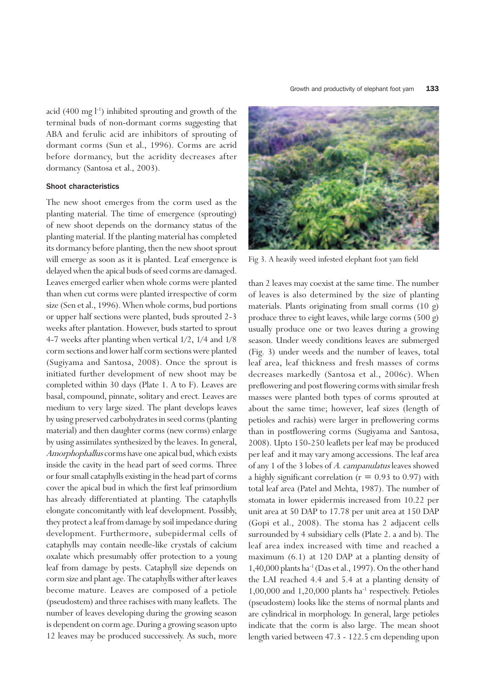acid (400 mg  $l^{-1}$ ) inhibited sprouting and growth of the terminal buds of non-dormant corms suggesting that ABA and ferulic acid are inhibitors of sprouting of dormant corms (Sun et al., 1996). Corms are acrid before dormancy, but the acridity decreases after dormancy (Santosa et al., 2003).

#### Shoot characteristics

The new shoot emerges from the corm used as the planting material. The time of emergence (sprouting) of new shoot depends on the dormancy status of the planting material. If the planting material has completed its dormancy before planting, then the new shoot sprout will emerge as soon as it is planted. Leaf emergence is delayed when the apical buds of seed corms are damaged. Leaves emerged earlier when whole corms were planted than when cut corms were planted irrespective of corm size (Sen et al., 1996). When whole corms, bud portions or upper half sections were planted, buds sprouted 2-3 weeks after plantation. However, buds started to sprout 4-7 weeks after planting when vertical 1/2, 1/4 and 1/8 corm sections and lower half corm sections were planted (Sugiyama and Santosa, 2008). Once the sprout is initiated further development of new shoot may be completed within 30 days (Plate 1. A to F). Leaves are basal, compound, pinnate, solitary and erect. Leaves are medium to very large sized. The plant develops leaves by using preserved carbohydrates in seed corms (planting material) and then daughter corms (new corms) enlarge by using assimilates synthesized by the leaves. In general, Amorphophallus corms have one apical bud, which exists inside the cavity in the head part of seed corms. Three or four small cataphylls existing in the head part of corms cover the apical bud in which the first leaf primordium has already differentiated at planting. The cataphylls elongate concomitantly with leaf development. Possibly, they protect a leaf from damage by soil impedance during development. Furthermore, subepidermal cells of cataphylls may contain needle-like crystals of calcium oxalate which presumably offer protection to a young leaf from damage by pests. Cataphyll size depends on corm size and plant age. The cataphylls wither after leaves become mature. Leaves are composed of a petiole (pseudostem) and three rachises with many leaflets. The number of leaves developing during the growing season is dependent on corm age. During a growing season upto 12 leaves may be produced successively. As such, more



Fig 3. A heavily weed infested elephant foot yam field

than 2 leaves may coexist at the same time. The number of leaves is also determined by the size of planting materials. Plants originating from small corms (10 g) produce three to eight leaves, while large corms (500 g) usually produce one or two leaves during a growing season. Under weedy conditions leaves are submerged (Fig. 3) under weeds and the number of leaves, total leaf area, leaf thickness and fresh masses of corms decreases markedly (Santosa et al., 2006c). When preflowering and post flowering corms with similar fresh masses were planted both types of corms sprouted at about the same time; however, leaf sizes (length of petioles and rachis) were larger in preflowering corms than in postflowering corms (Sugiyama and Santosa, 2008). Upto 150-250 leaflets per leaf may be produced per leaf and it may vary among accessions. The leaf area of any 1 of the 3 lobes of A. campanulatus leaves showed a highly significant correlation ( $r = 0.93$  to 0.97) with total leaf area (Patel and Mehta, 1987). The number of stomata in lower epidermis increased from 10.22 per unit area at 50 DAP to 17.78 per unit area at 150 DAP (Gopi et al., 2008). The stoma has 2 adjacent cells surrounded by 4 subsidiary cells (Plate 2. a and b). The leaf area index increased with time and reached a maximum (6.1) at 120 DAP at a planting density of 1,40,000 plants ha-1 (Das et al., 1997). On the other hand the LAI reached 4.4 and 5.4 at a planting density of  $1,00,000$  and  $1,20,000$  plants ha<sup>-1</sup> respectively. Petioles (pseudostem) looks like the stems of normal plants and are cylindrical in morphology. In general, large petioles indicate that the corm is also large. The mean shoot length varied between 47.3 - 122.5 cm depending upon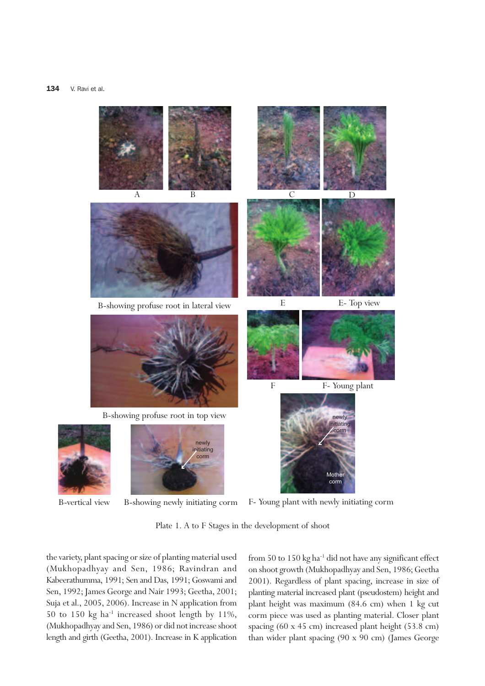

B-vertical view B-showing newly initiating corm

F- Young plant with newly initiating corm

Plate 1. A to F Stages in the development of shoot

the variety, plant spacing or size of planting material used (Mukhopadhyay and Sen, 1986; Ravindran and Kabeerathumma, 1991; Sen and Das, 1991; Goswami and Sen, 1992; James George and Nair 1993; Geetha, 2001; Suja et al., 2005, 2006). Increase in N application from 50 to 150 kg  $ha^{-1}$  increased shoot length by 11%, (Mukhopadhyay and Sen, 1986) or did not increase shoot length and girth (Geetha, 2001). Increase in K application

from 50 to 150 kg ha<sup>-1</sup> did not have any significant effect on shoot growth (Mukhopadhyay and Sen, 1986; Geetha 2001). Regardless of plant spacing, increase in size of planting material increased plant (pseudostem) height and plant height was maximum (84.6 cm) when 1 kg cut corm piece was used as planting material. Closer plant spacing (60 x 45 cm) increased plant height (53.8 cm) than wider plant spacing (90 x 90 cm) (James George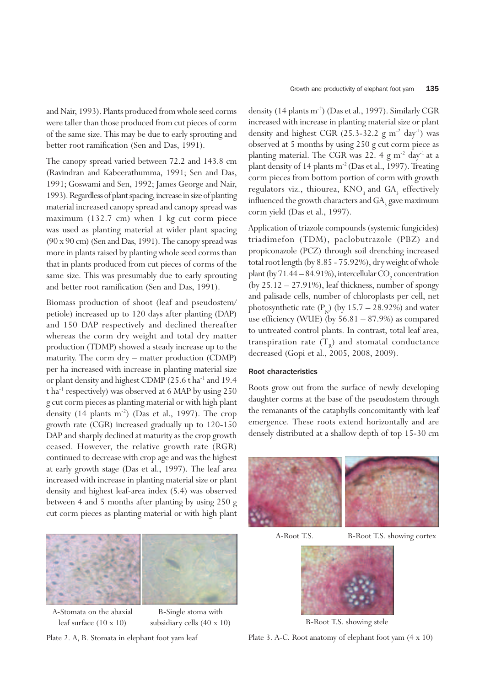and Nair, 1993). Plants produced from whole seed corms were taller than those produced from cut pieces of corm of the same size. This may be due to early sprouting and better root ramification (Sen and Das, 1991).

The canopy spread varied between 72.2 and 143.8 cm (Ravindran and Kabeerathumma, 1991; Sen and Das, 1991; Goswami and Sen, 1992; James George and Nair, 1993). Regardless of plant spacing, increase in size of planting material increased canopy spread and canopy spread was maximum (132.7 cm) when 1 kg cut corm piece was used as planting material at wider plant spacing (90 x 90 cm) (Sen and Das, 1991). The canopy spread was more in plants raised by planting whole seed corms than that in plants produced from cut pieces of corms of the same size. This was presumably due to early sprouting and better root ramification (Sen and Das, 1991).

Biomass production of shoot (leaf and pseudostem/ petiole) increased up to 120 days after planting (DAP) and 150 DAP respectively and declined thereafter whereas the corm dry weight and total dry matter production (TDMP) showed a steady increase up to the maturity. The corm dry – matter production (CDMP) per ha increased with increase in planting material size or plant density and highest CDMP (25.6 t ha<sup>-1</sup> and 19.4 t ha-1 respectively) was observed at 6 MAP by using 250 g cut corm pieces as planting material or with high plant density  $(14 \text{ plants m}^{-2})$  (Das et al., 1997). The crop growth rate (CGR) increased gradually up to 120-150 DAP and sharply declined at maturity as the crop growth ceased. However, the relative growth rate (RGR) continued to decrease with crop age and was the highest at early growth stage (Das et al., 1997). The leaf area increased with increase in planting material size or plant density and highest leaf-area index (5.4) was observed between 4 and 5 months after planting by using 250 g cut corm pieces as planting material or with high plant

increased with increase in planting material size or plant density and highest CGR  $(25.3-32.2 \text{ g m}^{-2} \text{ day}^{-1})$  was observed at 5 months by using 250 g cut corm piece as planting material. The CGR was 22. 4 g m<sup>-2</sup> day<sup>-1</sup> at a plant density of 14 plants m<sup>-2</sup> (Das et al., 1997). Treating corm pieces from bottom portion of corm with growth regulators viz., thiourea,  $\text{KNO}_3^{\text{}}$  and  $\text{GA}_3^{\text{}}$  effectively influenced the growth characters and  $GA_{3}$  gave maximum corm yield (Das et al., 1997).

Application of triazole compounds (systemic fungicides) triadimefon (TDM), paclobutrazole (PBZ) and propiconazole (PCZ) through soil drenching increased total root length (by 8.85 - 75.92%), dry weight of whole plant (by  $71.44 - 84.91\%$ ), intercellular  $\mathrm{CO}_2$  concentration (by  $25.12 - 27.91\%$ ), leaf thickness, number of spongy and palisade cells, number of chloroplasts per cell, net photosynthetic rate  $(P_N)$  (by 15.7 – 28.92%) and water use efficiency (WUE) (by  $56.81 - 87.9%$ ) as compared to untreated control plants. In contrast, total leaf area, transpiration rate  $(T_{\textrm{\tiny R}})$  and stomatal conductance decreased (Gopi et al., 2005, 2008, 2009).

#### Root characteristics

Roots grow out from the surface of newly developing daughter corms at the base of the pseudostem through the remanants of the cataphylls concomitantly with leaf emergence. These roots extend horizontally and are densely distributed at a shallow depth of top 15-30 cm

A-Root T.S. B-Root T.S. showing cortex



B-Root T.S. showing stele





B-Single stoma with subsidiary cells (40 x 10)

A-Stomata on the abaxial leaf surface (10 x 10)

Plate 2. A, B. Stomata in elephant foot yam leaf

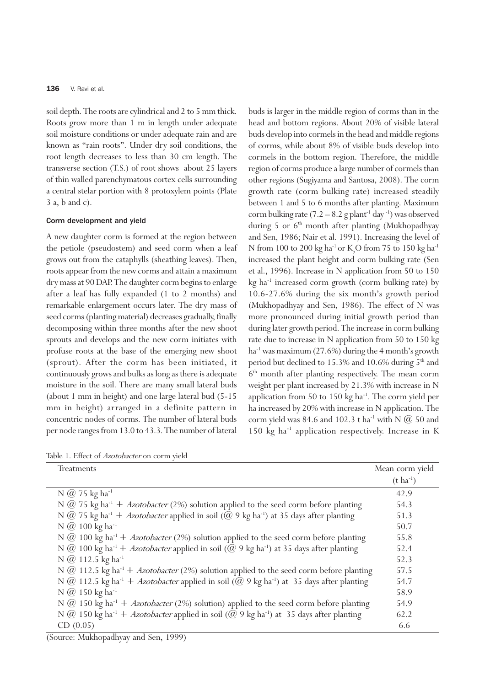soil depth. The roots are cylindrical and 2 to 5 mm thick. Roots grow more than 1 m in length under adequate soil moisture conditions or under adequate rain and are known as "rain roots". Under dry soil conditions, the root length decreases to less than 30 cm length. The transverse section (T.S.) of root shows about 25 layers of thin walled parenchymatous cortex cells surrounding a central stelar portion with 8 protoxylem points (Plate 3 a, b and c).

#### Corm development and yield

A new daughter corm is formed at the region between the petiole (pseudostem) and seed corm when a leaf grows out from the cataphylls (sheathing leaves). Then, roots appear from the new corms and attain a maximum dry mass at 90 DAP. The daughter corm begins to enlarge after a leaf has fully expanded (1 to 2 months) and remarkable enlargement occurs later. The dry mass of seed corms (planting material) decreases gradually, finally decomposing within three months after the new shoot sprouts and develops and the new corm initiates with profuse roots at the base of the emerging new shoot (sprout). After the corm has been initiated, it continuously grows and bulks as long as there is adequate moisture in the soil. There are many small lateral buds (about 1 mm in height) and one large lateral bud (5-15 mm in height) arranged in a definite pattern in concentric nodes of corms. The number of lateral buds per node ranges from 13.0 to 43.3. The number of lateral buds is larger in the middle region of corms than in the head and bottom regions. About 20% of visible lateral buds develop into cormels in the head and middle regions of corms, while about 8% of visible buds develop into cormels in the bottom region. Therefore, the middle region of corms produce a large number of cormels than other regions (Sugiyama and Santosa, 2008). The corm growth rate (corm bulking rate) increased steadily between 1 and 5 to 6 months after planting. Maximum corm bulking rate  $(7.2 - 8.2$  g plant<sup>-1</sup> day<sup>-1</sup>) was observed during 5 or  $6<sup>th</sup>$  month after planting (Mukhopadhyay and Sen, 1986; Nair et al. 1991). Increasing the level of N from 100 to 200 kg ha<sup>-1</sup> or K<sub>2</sub>O from 75 to 150 kg ha<sup>-1</sup> increased the plant height and corm bulking rate (Sen et al., 1996). Increase in N application from 50 to 150  $kg$  ha<sup>-1</sup> increased corm growth (corm bulking rate) by 10.6-27.6% during the six month's growth period (Mukhopadhyay and Sen, 1986). The effect of N was more pronounced during initial growth period than during later growth period. The increase in corm bulking rate due to increase in N application from 50 to 150 kg ha<sup>-1</sup> was maximum  $(27.6%)$  during the 4 month's growth period but declined to 15.3% and 10.6% during  $5<sup>th</sup>$  and 6 th month after planting respectively. The mean corm weight per plant increased by 21.3% with increase in N application from 50 to 150 kg  $ha^{-1}$ . The corm yield per ha increased by 20% with increase in N application. The corm yield was 84.6 and 102.3 t ha<sup>-1</sup> with N  $\omega$  50 and 150 kg  $ha^{-1}$  application respectively. Increase in K

Table 1. Effect of Azotobacter on corm yield

| Treatments                                                                                                       | Mean corm yield  |
|------------------------------------------------------------------------------------------------------------------|------------------|
|                                                                                                                  | $(t \, ha^{-1})$ |
| N @ 75 kg ha <sup>-1</sup>                                                                                       | 42.9             |
| N @ 75 kg ha <sup>-1</sup> + <i>Azotobacter</i> (2%) solution applied to the seed corm before planting           | 54.3             |
| N @ 75 kg ha <sup>-1</sup> + Azotobacter applied in soil (@ 9 kg ha <sup>-1</sup> ) at 35 days after planting    | 51.3             |
| N @ 100 kg ha <sup>-1</sup>                                                                                      | 50.7             |
| N $\omega$ 100 kg ha <sup>-1</sup> + <i>Azotobacter</i> (2%) solution applied to the seed corm before planting   | 55.8             |
| N @ 100 kg ha <sup>-1</sup> + Azotobacter applied in soil (@ 9 kg ha <sup>-1</sup> ) at 35 days after planting   | 52.4             |
| N @ 112.5 kg ha <sup>-1</sup>                                                                                    | 52.3             |
| N $\omega$ 112.5 kg ha <sup>-1</sup> + <i>Azotobacter</i> (2%) solution applied to the seed corm before planting | 57.5             |
| N @ 112.5 kg ha <sup>-1</sup> + Azotobacter applied in soil (@ 9 kg ha <sup>-1</sup> ) at 35 days after planting | 54.7             |
| N @ 150 kg ha <sup>-1</sup>                                                                                      | 58.9             |
| N $\omega$ 150 kg ha <sup>-1</sup> + <i>Azotobacter</i> (2%) solution) applied to the seed corm before planting  | 54.9             |
| N @ 150 kg ha <sup>-1</sup> + Azotobacter applied in soil (@ 9 kg ha <sup>-1</sup> ) at 35 days after planting   | 62.2             |
| CD(0.05)                                                                                                         | 6.6              |

(Source: Mukhopadhyay and Sen, 1999)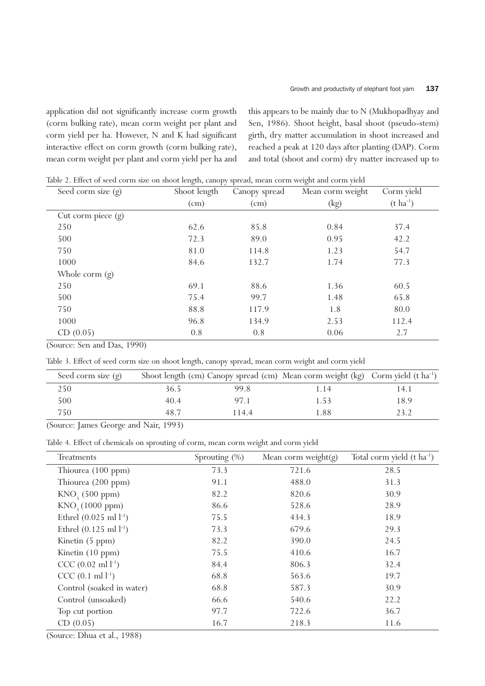application did not significantly increase corm growth (corm bulking rate), mean corm weight per plant and corm yield per ha. However, N and K had significant interactive effect on corm growth (corm bulking rate), mean corm weight per plant and corm yield per ha and this appears to be mainly due to N (Mukhopadhyay and Sen, 1986). Shoot height, basal shoot (pseudo-stem) girth, dry matter accumulation in shoot increased and reached a peak at 120 days after planting (DAP). Corm and total (shoot and corm) dry matter increased up to

| Seed corm size $(g)$ | Shoot length | Mean corm weight<br>Canopy spread |      | Corm yield       |
|----------------------|--------------|-----------------------------------|------|------------------|
|                      | $\rm(cm)$    | (cm)                              | (kg) | $(t \, ha^{-1})$ |
| Cut corm piece $(g)$ |              |                                   |      |                  |
| 250                  | 62.6         | 85.8                              | 0.84 | 37.4             |
| 500                  | 72.3         | 89.0                              | 0.95 | 42.2             |
| 750                  | 81.0         | 114.8                             | 1.23 | 54.7             |
| 1000                 | 84.6         | 132.7                             | 1.74 | 77.3             |
| Whole corm (g)       |              |                                   |      |                  |
| 250                  | 69.1         | 88.6                              | 1.36 | 60.5             |
| 500                  | 75.4         | 99.7                              | 1.48 | 65.8             |
| 750                  | 88.8         | 117.9                             | 1.8  | 80.0             |
| 1000                 | 96.8         | 134.9                             | 2.53 | 112.4            |
| CD (0.05)            | 0.8          | 0.8                               | 0.06 | 2.7              |

Table 2. Effect of seed corm size on shoot length, canopy spread, mean corm weight and corm yield

(Source: Sen and Das, 1990)

Table 3. Effect of seed corm size on shoot length, canopy spread, mean corm weight and corm yield

| Seed corm size $(g)$ |      |       | Shoot length (cm) Canopy spread (cm) Mean corm weight (kg) Corm yield (t ha <sup>-1</sup> ) |        |
|----------------------|------|-------|---------------------------------------------------------------------------------------------|--------|
| 250                  | 36.5 | 99.8  | 1.14                                                                                        | I 4. I |
| 500                  | 40.4 | 97.1  | 1.53                                                                                        | 18.9   |
| 750                  | 48.7 | 114.4 | 1.88                                                                                        | 23.2   |

(Source: James George and Nair, 1993)

Table 4. Effect of chemicals on sprouting of corm, mean corm weight and corm yield

| <b>Treatments</b>                   | Sprouting $(\%)$ | Mean corm weight $(g)$ | Total corm yield $(t \text{ ha}^{-1})$ |
|-------------------------------------|------------------|------------------------|----------------------------------------|
| Thiourea (100 ppm)                  | 73.3             | 721.6                  | 28.5                                   |
| Thiourea (200 ppm)                  | 91.1             | 488.0                  | 31.3                                   |
| $KNO3$ (500 ppm)                    | 82.2             | 820.6                  | 30.9                                   |
| KNO <sub>3</sub> (1000 ppm)         | 86.6             | 528.6                  | 28.9                                   |
| Ethrel $(0.025 \text{ ml } l^{-1})$ | 75.5             | 434.3                  | 18.9                                   |
| Ethrel $(0.125 \text{ ml } l^{-1})$ | 73.3             | 679.6                  | 29.3                                   |
| Kinetin (5 ppm)                     | 82.2             | 390.0                  | 24.5                                   |
| Kinetin (10 ppm)                    | 75.5             | 410.6                  | 16.7                                   |
| $CCC (0.02 ml l-1)$                 | 84.4             | 806.3                  | 32.4                                   |
| $CCC (0.1 ml l-1)$                  | 68.8             | 563.6                  | 19.7                                   |
| Control (soaked in water)           | 68.8             | 587.3                  | 30.9                                   |
| Control (unsoaked)                  | 66.6             | 540.6                  | 22.2                                   |
| Top cut portion                     | 97.7             | 722.6                  | 36.7                                   |
| CD (0.05)                           | 16.7             | 218.3                  | 11.6                                   |

(Source: Dhua et al., 1988)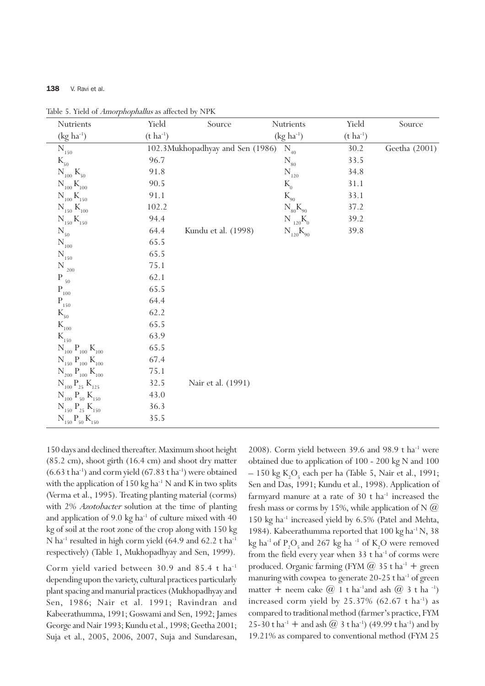#### 138 V. Ravi et al.

| Nutrients                                          | Yield            | Source                           | Nutrients         | Yield            | Source        |
|----------------------------------------------------|------------------|----------------------------------|-------------------|------------------|---------------|
| $(kg ha^{-1})$                                     | $(t \, ha^{-1})$ |                                  | $(kg ha^{-1})$    | $(t \, ha^{-1})$ |               |
| $\bar{\text{N}}_{_{150}}$                          |                  | 102.3Mukhopadhyay and Sen (1986) | $\bar{N}_{_{40}}$ | 30.2             | Geetha (2001) |
| $K_{50}$                                           | 96.7             |                                  | $\rm N_{\rm 80}$  | 33.5             |               |
| $N_{100} K_{50}$                                   | 91.8             |                                  | $\rm N_{\rm 120}$ | 34.8             |               |
| $N_{100} K_{100}$                                  | 90.5             |                                  | $K_{0}$           | 31.1             |               |
| $N_{100} K_{150}$                                  | 91.1             |                                  | $K_{90}$          | 33.1             |               |
| $N_{150} K_{100}$                                  | 102.2            |                                  | $N_{80}K_{90}$    | 37.2             |               |
| $N_{150} K_{150}$                                  | 94.4             |                                  | $N_{120}K_{_0}$   | 39.2             |               |
| $N_{50}$                                           | 64.4             | Kundu et al. (1998)              | $N_{120}K_{90}$   | 39.8             |               |
| $\mathrm{N}_{_{100}}$                              | 65.5             |                                  |                   |                  |               |
| $\rm N_{\rm _{150}}$                               | 65.5             |                                  |                   |                  |               |
| N $_{\rm 200}$                                     | 75.1             |                                  |                   |                  |               |
| $\rm P$<br>50                                      | 62.1             |                                  |                   |                  |               |
| $\rm P_{_{100}}$                                   | 65.5             |                                  |                   |                  |               |
| $\mathbf{P}_{_{150}}$                              | 64.4             |                                  |                   |                  |               |
| $K_{50}$                                           | 62.2             |                                  |                   |                  |               |
| $K_{100}$                                          | 65.5             |                                  |                   |                  |               |
| $K_{150}$                                          | 63.9             |                                  |                   |                  |               |
| $\rm N_{_{100}}$ $\rm P_{_{100}}$ $\rm K_{_{100}}$ | 65.5             |                                  |                   |                  |               |
| $N_{150} P_{100} K_{100}$                          | 67.4             |                                  |                   |                  |               |
| $N_{200} P_{100} K_{100}$                          | 75.1             |                                  |                   |                  |               |
| $N_{100} P_{25} K_{125}$                           | 32.5             | Nair et al. (1991)               |                   |                  |               |
| $N_{100} P_{50} K_{150}$                           | 43.0             |                                  |                   |                  |               |
| $N_{150} P_{25} K_{150}$                           | 36.3             |                                  |                   |                  |               |
| $N_{150} P_{50} K_{150}$                           | 35.5             |                                  |                   |                  |               |

Table 5. Yield of Amorphophallus as affected by NPK

150 days and declined thereafter. Maximum shoot height (85.2 cm), shoot girth (16.4 cm) and shoot dry matter  $(6.63 \text{ tha}^{-1})$  and corm yield  $(67.83 \text{ tha}^{-1})$  were obtained with the application of 150 kg ha<sup>-1</sup> N and K in two splits (Verma et al., 1995). Treating planting material (corms) with 2% *Azotobacter* solution at the time of planting and application of 9.0 kg ha<sup>-1</sup> of culture mixed with 40 kg of soil at the root zone of the crop along with 150 kg N ha<sup>-1</sup> resulted in high corm yield  $(64.9 \text{ and } 62.2 \text{ t} \text{ ha}^{-1})$ respectively) (Table 1, Mukhopadhyay and Sen, 1999).

Corm yield varied between 30.9 and 85.4 t ha-1 depending upon the variety, cultural practices particularly plant spacing and manurial practices (Mukhopadhyay and Sen, 1986; Nair et al. 1991; Ravindran and Kabeerathumma, 1991; Goswami and Sen, 1992; James George and Nair 1993; Kundu et al., 1998; Geetha 2001; Suja et al., 2005, 2006, 2007, Suja and Sundaresan,

2008). Corm yield between 39.6 and 98.9 t ha<sup>-1</sup> were obtained due to application of 100 - 200 kg N and 100  $-150 \text{ kg K}<sub>2</sub>O<sub>5</sub>$  each per ha (Table 5, Nair et al., 1991; Sen and Das, 1991; Kundu et al., 1998). Application of farmyard manure at a rate of  $30$  t ha<sup>-1</sup> increased the fresh mass or corms by 15%, while application of N  $\omega$ 150 kg ha-1 increased yield by 6.5% (Patel and Mehta, 1984). Kabeerathumma reported that 100 kg ha<sup>-1</sup> N, 38 kg ha<sup>-1</sup> of P<sub>2</sub>O<sub>5</sub> and 267 kg ha<sup>-1</sup> of K<sub>2</sub>O were removed from the field every year when  $33$  t ha<sup>-1</sup> of corms were produced. Organic farming (FYM  $@$  35 t ha<sup>-1</sup> + green manuring with cowpea to generate  $20-25$  t ha<sup>-1</sup> of green matter + neem cake  $\omega$  1 t ha<sup>-1</sup>and ash  $\omega$  3 t ha<sup>-1</sup>) increased corm yield by  $25.37\%$  (62.67 t ha<sup>-1</sup>) as compared to traditional method (farmer's practice, FYM 25-30 t ha<sup>-1</sup> + and ash @ 3 t ha<sup>-1</sup>) (49.99 t ha<sup>-1</sup>) and by 19.21% as compared to conventional method (FYM 25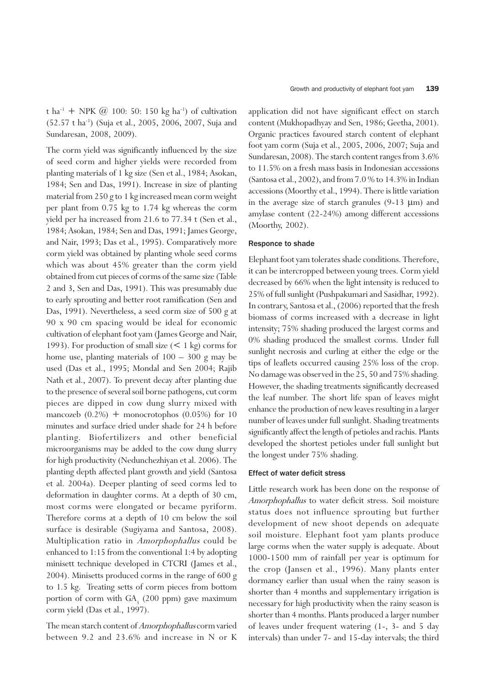t ha<sup>-1</sup> + NPK @ 100: 50: 150 kg ha<sup>-1</sup>) of cultivation (52.57 t ha-1) (Suja et al., 2005, 2006, 2007, Suja and Sundaresan, 2008, 2009).

The corm yield was significantly influenced by the size of seed corm and higher yields were recorded from planting materials of 1 kg size (Sen et al., 1984; Asokan, 1984; Sen and Das, 1991). Increase in size of planting material from 250 g to 1 kg increased mean corm weight per plant from 0.75 kg to 1.74 kg whereas the corm yield per ha increased from 21.6 to 77.34 t (Sen et al., 1984; Asokan, 1984; Sen and Das, 1991; James George, and Nair, 1993; Das et al., 1995). Comparatively more corm yield was obtained by planting whole seed corms which was about 45% greater than the corm yield obtained from cut pieces of corms of the same size (Table 2 and 3, Sen and Das, 1991). This was presumably due to early sprouting and better root ramification (Sen and Das, 1991). Nevertheless, a seed corm size of 500 g at 90 x 90 cm spacing would be ideal for economic cultivation of elephant foot yam (James George and Nair, 1993). For production of small size  $(< 1 \text{ kg})$  corms for home use, planting materials of 100 – 300 g may be used (Das et al., 1995; Mondal and Sen 2004; Rajib Nath et al., 2007). To prevent decay after planting due to the presence of several soil borne pathogens, cut corm pieces are dipped in cow dung slurry mixed with mancozeb  $(0.2\%)$  + monocrotophos  $(0.05\%)$  for 10 minutes and surface dried under shade for 24 h before planting. Biofertilizers and other beneficial microorganisms may be added to the cow dung slurry for high productivity (Nedunchezhiyan et al. 2006). The planting depth affected plant growth and yield (Santosa et al. 2004a). Deeper planting of seed corms led to deformation in daughter corms. At a depth of 30 cm, most corms were elongated or became pyriform. Therefore corms at a depth of 10 cm below the soil surface is desirable (Sugiyama and Santosa, 2008). Multiplication ratio in *Amorphophallus* could be enhanced to 1:15 from the conventional 1:4 by adopting minisett technique developed in CTCRI (James et al., 2004). Minisetts produced corms in the range of 600 g to 1.5 kg. Treating setts of corm pieces from bottom portion of corm with  $GA_{3}$  (200 ppm) gave maximum corm yield (Das et al., 1997).

The mean starch content of *Amorphophallus* corm varied between 9.2 and 23.6% and increase in N or K

application did not have significant effect on starch content (Mukhopadhyay and Sen, 1986; Geetha, 2001). Organic practices favoured starch content of elephant foot yam corm (Suja et al., 2005, 2006, 2007; Suja and Sundaresan, 2008). The starch content ranges from 3.6% to 11.5% on a fresh mass basis in Indonesian accessions (Santosa et al., 2002), and from 7.0 % to 14.3% in Indian accessions (Moorthy et al., 1994). There is little variation in the average size of starch granules  $(9-13 \mu m)$  and amylase content (22-24%) among different accessions (Moorthy, 2002).

#### Responce to shade

Elephant foot yam tolerates shade conditions. Therefore, it can be intercropped between young trees. Corm yield decreased by 66% when the light intensity is reduced to 25% of full sunlight (Pushpakumari and Sasidhar, 1992). In contrary, Santosa et al., (2006) reported that the fresh biomass of corms increased with a decrease in light intensity; 75% shading produced the largest corms and 0% shading produced the smallest corms. Under full sunlight necrosis and curling at either the edge or the tips of leaflets occurred causing 25% loss of the crop. No damage was observed in the 25, 50 and 75% shading. However, the shading treatments significantly decreased the leaf number. The short life span of leaves might enhance the production of new leaves resulting in a larger number of leaves under full sunlight. Shading treatments significantly affect the length of petioles and rachis. Plants developed the shortest petioles under full sunlight but the longest under 75% shading.

#### Effect of water deficit stress

Little research work has been done on the response of Amorphophallus to water deficit stress. Soil moisture status does not influence sprouting but further development of new shoot depends on adequate soil moisture. Elephant foot yam plants produce large corms when the water supply is adequate. About 1000-1500 mm of rainfall per year is optimum for the crop (Jansen et al., 1996). Many plants enter dormancy earlier than usual when the rainy season is shorter than 4 months and supplementary irrigation is necessary for high productivity when the rainy season is shorter than 4 months. Plants produced a larger number of leaves under frequent watering (1-, 3- and 5 day intervals) than under 7- and 15-day intervals; the third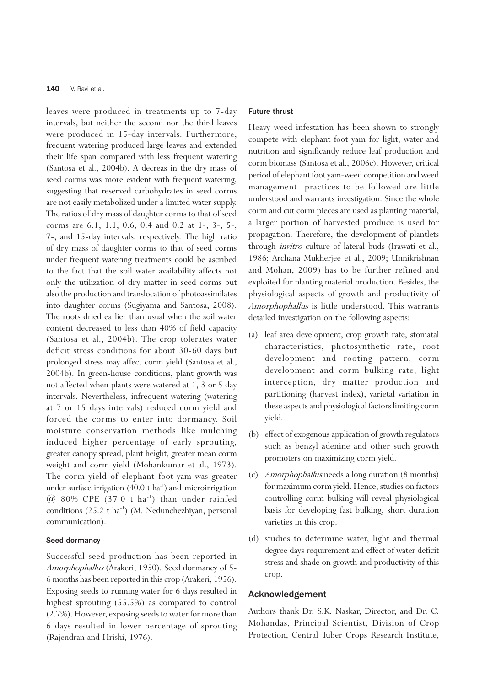leaves were produced in treatments up to 7-day intervals, but neither the second nor the third leaves were produced in 15-day intervals. Furthermore, frequent watering produced large leaves and extended their life span compared with less frequent watering (Santosa et al., 2004b). A decreas in the dry mass of seed corms was more evident with frequent watering, suggesting that reserved carbohydrates in seed corms are not easily metabolized under a limited water supply. The ratios of dry mass of daughter corms to that of seed corms are 6.1, 1.1, 0.6, 0.4 and 0.2 at 1-, 3-, 5-, 7-, and 15-day intervals, respectively. The high ratio of dry mass of daughter corms to that of seed corms under frequent watering treatments could be ascribed to the fact that the soil water availability affects not only the utilization of dry matter in seed corms but also the production and translocation of photoassimilates into daughter corms (Sugiyama and Santosa, 2008). The roots dried earlier than usual when the soil water content decreased to less than 40% of field capacity (Santosa et al., 2004b). The crop tolerates water deficit stress conditions for about 30-60 days but prolonged stress may affect corm yield (Santosa et al., 2004b). In green-house conditions, plant growth was not affected when plants were watered at 1, 3 or 5 day intervals. Nevertheless, infrequent watering (watering at 7 or 15 days intervals) reduced corm yield and forced the corms to enter into dormancy. Soil moisture conservation methods like mulching induced higher percentage of early sprouting, greater canopy spread, plant height, greater mean corm weight and corm yield (Mohankumar et al., 1973). The corm yield of elephant foot yam was greater under surface irrigation  $(40.0 \text{ t} \text{ ha}^{-1})$  and microirrigation  $\omega$  80% CPE (37.0 t ha<sup>-1</sup>) than under rainfed conditions  $(25.2 \text{ t ha}^{-1})$  (M. Nedunchezhiyan, personal communication).

#### Seed dormancy

Successful seed production has been reported in Amorphophallus (Arakeri, 1950). Seed dormancy of 5- 6 months has been reported in this crop (Arakeri, 1956). Exposing seeds to running water for 6 days resulted in highest sprouting (55.5%) as compared to control (2.7%). However, exposing seeds to water for more than 6 days resulted in lower percentage of sprouting (Rajendran and Hrishi, 1976).

#### Future thrust

Heavy weed infestation has been shown to strongly compete with elephant foot yam for light, water and nutrition and significantly reduce leaf production and corm biomass (Santosa et al., 2006c). However, critical period of elephant foot yam-weed competition and weed management practices to be followed are little understood and warrants investigation. Since the whole corm and cut corm pieces are used as planting material, a larger portion of harvested produce is used for propagation. Therefore, the development of plantlets through *invitro* culture of lateral buds (Irawati et al., 1986; Archana Mukherjee et al., 2009; Unnikrishnan and Mohan, 2009) has to be further refined and exploited for planting material production. Besides, the physiological aspects of growth and productivity of Amorphophallus is little understood. This warrants detailed investigation on the following aspects:

- (a) leaf area development, crop growth rate, stomatal characteristics, photosynthetic rate, root development and rooting pattern, corm development and corm bulking rate, light interception, dry matter production and partitioning (harvest index), varietal variation in these aspects and physiological factors limiting corm yield.
- (b) effect of exogenous application of growth regulators such as benzyl adenine and other such growth promoters on maximizing corm yield.
- (c) Amorphophallus needs a long duration (8 months) for maximum corm yield. Hence, studies on factors controlling corm bulking will reveal physiological basis for developing fast bulking, short duration varieties in this crop.
- (d) studies to determine water, light and thermal degree days requirement and effect of water deficit stress and shade on growth and productivity of this crop.

## Acknowledgement

Authors thank Dr. S.K. Naskar, Director, and Dr. C. Mohandas, Principal Scientist, Division of Crop Protection, Central Tuber Crops Research Institute,